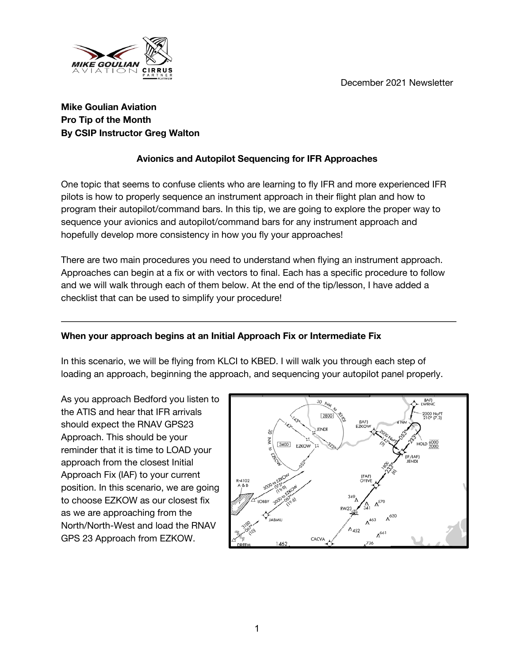December 2021 Newsletter



# **Mike Goulian Aviation Pro Tip of the Month By CSIP Instructor Greg Walton**

# **Avionics and Autopilot Sequencing for IFR Approaches**

One topic that seems to confuse clients who are learning to fly IFR and more experienced IFR pilots is how to properly sequence an instrument approach in their flight plan and how to program their autopilot/command bars. In this tip, we are going to explore the proper way to sequence your avionics and autopilot/command bars for any instrument approach and hopefully develop more consistency in how you fly your approaches!

There are two main procedures you need to understand when flying an instrument approach. Approaches can begin at a fix or with vectors to final. Each has a specific procedure to follow and we will walk through each of them below. At the end of the tip/lesson, I have added a checklist that can be used to simplify your procedure!

## **When your approach begins at an Initial Approach Fix or Intermediate Fix**

In this scenario, we will be flying from KLCI to KBED. I will walk you through each step of loading an approach, beginning the approach, and sequencing your autopilot panel properly.

As you approach Bedford you listen to the ATIS and hear that IFR arrivals should expect the RNAV GPS23 Approach. This should be your reminder that it is time to LOAD your approach from the closest Initial Approach Fix (IAF) to your current position. In this scenario, we are going to choose EZKOW as our closest fix as we are approaching from the North/North-West and load the RNAV GPS 23 Approach from EZKOW.

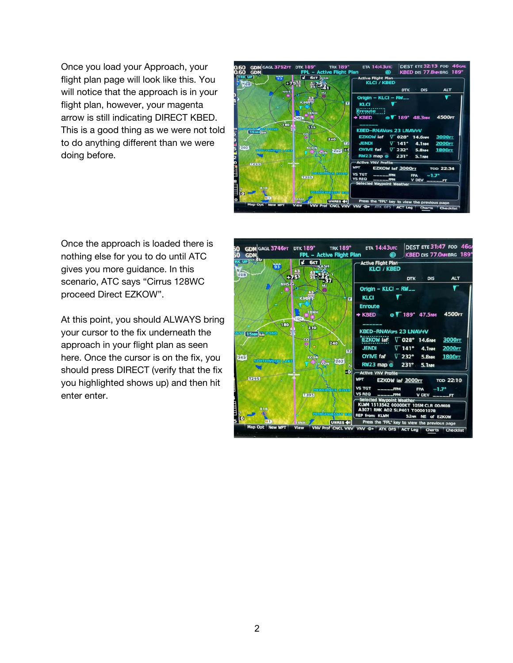Once you load your Approach, your flight plan page will look like this. You will notice that the approach is in your flight plan, however, your magenta arrow is still indicating DIRECT KBED. This is a good thing as we were not told to do anything different than we were doing before.



Once the approach is loaded there is nothing else for you to do until ATC gives you more guidance. In this scenario, ATC says "Cirrus 128WC proceed Direct EZKOW".

At this point, you should ALWAYS bring your cursor to the fix underneath the approach in your flight plan as seen here. Once the cursor is on the fix, you should press DIRECT (verify that the fix you highlighted shows up) and then hit enter enter.

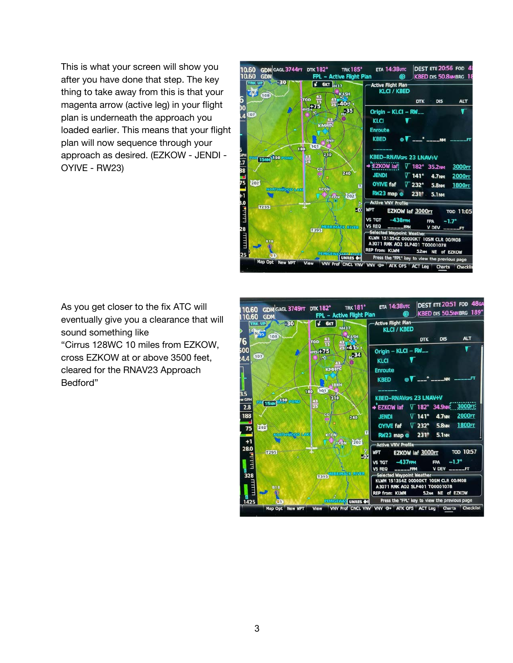This is what your screen will show you after you have done that step. The key thing to take away from this is that your magenta arrow (active leg) in your flight plan is underneath the approach you loaded earlier. This means that your flight plan will now sequence through your approach as desired. (EZKOW - JENDI - OYIVE - RW23)



As you get closer to the fix ATC will eventually give you a clearance that will sound something like "Cirrus 128WC 10 miles from EZKOW, cross EZKOW at or above 3500 feet, cleared for the RNAV23 Approach Bedford"

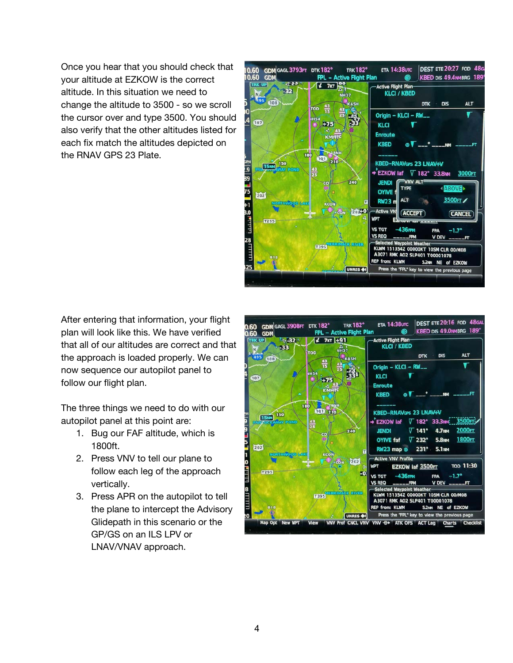Once you hear that you should check that your altitude at EZKOW is the correct altitude. In this situation we need to change the altitude to 3500 - so we scroll the cursor over and type 3500. You should also verify that the other altitudes listed for each fix match the altitudes depicted on the RNAV GPS 23 Plate.



After entering that information, your flight plan will look like this. We have verified that all of our altitudes are correct and that the approach is loaded properly. We can now sequence our autopilot panel to follow our flight plan.

The three things we need to do with our autopilot panel at this point are:

- 1. Bug our FAF altitude, which is 1800ft.
- 2. Press VNV to tell our plane to follow each leg of the approach vertically.
- 3. Press APR on the autopilot to tell the plane to intercept the Advisory Glidepath in this scenario or the GP/GS on an ILS LPV or LNAV/VNAV approach.

| 0.60                                   | <b>GDM</b> GAGL 3908FT DTK 182°<br><b>GDM</b> |                                                  | FPL - Active Flight Plan                                       | ⊛                                                                                                                                                                           | KBED DIS 49.0MMBRG 189°                                                                             |                                                             |
|----------------------------------------|-----------------------------------------------|--------------------------------------------------|----------------------------------------------------------------|-----------------------------------------------------------------------------------------------------------------------------------------------------------------------------|-----------------------------------------------------------------------------------------------------|-------------------------------------------------------------|
| <b>TRK UP</b><br><sub>a</sub> N<br>495 | $1 - 32$<br>-33<br>108                        | $\frac{1}{2}$ 7KT +91<br><b>TOD</b>              | N <sub>H37</sub><br>KASH                                       | Active Flight Plan-<br><b>KLCI / KBED</b>                                                                                                                                   | <b>DIS</b><br><b>DTK</b>                                                                            | <b>ALT</b>                                                  |
| (107)                                  |                                               | $\frac{43}{15}$<br><b>IH54</b><br>$+75$<br>KMHTC |                                                                | Origin - KLCI - RW__<br><b>KLCI</b><br><b>Enroute</b><br><b>KBED</b>                                                                                                        | 7. September 1980                                                                                   |                                                             |
| 202                                    | 180<br>150<br><b>15NM</b><br><b>WAY POND</b>  | 103 210<br>$\frac{43}{25}$<br>co<br>潑            | TSNH<br>240<br>$\overline{\mathbf{u}}$                         | <b>KBED-RNAVGPS 23 LNAV+V</b><br>→ EZKOW iaf<br><b>JENDI</b><br><b>OYIVE faf</b><br>$RW23$ map $@$                                                                          | V 182° 33.3NM 3500FT<br>$\nabla$ 141°<br><b>4.7NM</b><br>$\nabla$ 232°<br><b>5.8MM</b><br>231° 5.1M | 2000FT<br><b>1800FT</b>                                     |
|                                        | <b>NORTHWOOD LAK</b><br>T295                  | <b>KCON</b><br><b>T395</b>                       | 202<br>$\sim$ CON<br>$\vert \cdot 0 \vert$<br><b>ACK RIVER</b> | <b>Active VNV Profile</b><br><b>WPT</b><br>$-436$ FPM<br><b>VS TGT</b><br><b>VS REQ</b><br>$---$ FPM<br>-Selected Waypoint Weather-<br>KLWM 151354Z 00000KT 10SM CLR 00/M08 | EZKOW iaf 3500FT<br><b>FPA</b>                                                                      | <b>TOD 11:30</b><br>$-1.7^{\circ}$<br><b>V DEV ______FT</b> |
|                                        | <b>B18</b>                                    |                                                  | <b>UNRES OF</b>                                                | A3071 RMK AO2 SLP401 T00001078<br><b>REP from: KLWM</b><br>Press the "FPL" key to view the previous page                                                                    | 5.2NM NE of EZKOW                                                                                   |                                                             |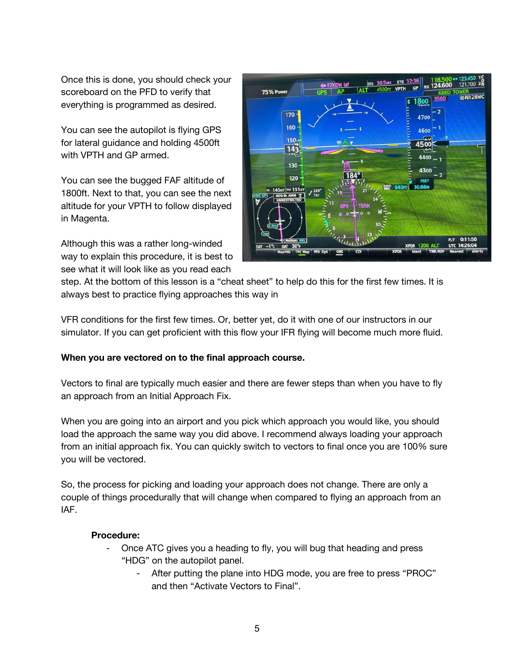Once this is done, you should check your scoreboard on the PFD to verify that everything is programmed as desired.

You can see the autopilot is flying GPS for lateral guidance and holding 4500ft with VPTH and GP armed.

You can see the bugged FAF altitude of 1800ft. Next to that, you can see the next altitude for your VPTH to follow displayed in Magenta.

Although this was a rather long-winded way to explain this procedure, it is best to see what it will look like as you read each



step. At the bottom of this lesson is a "cheat sheet" to help do this for the first few times. It is always best to practice flying approaches this way in

VFR conditions for the first few times. Or, better yet, do it with one of our instructors in our simulator. If you can get proficient with this flow your IFR flying will become much more fluid.

#### **When you are vectored on to the final approach course.**

Vectors to final are typically much easier and there are fewer steps than when you have to fly an approach from an Initial Approach Fix.

When you are going into an airport and you pick which approach you would like, you should load the approach the same way you did above. I recommend always loading your approach from an initial approach fix. You can quickly switch to vectors to final once you are 100% sure you will be vectored.

So, the process for picking and loading your approach does not change. There are only a couple of things procedurally that will change when compared to flying an approach from an IAF.

#### **Procedure:**

- Once ATC gives you a heading to fly, you will bug that heading and press "HDG" on the autopilot panel.
	- After putting the plane into HDG mode, you are free to press "PROC" and then "Activate Vectors to Final".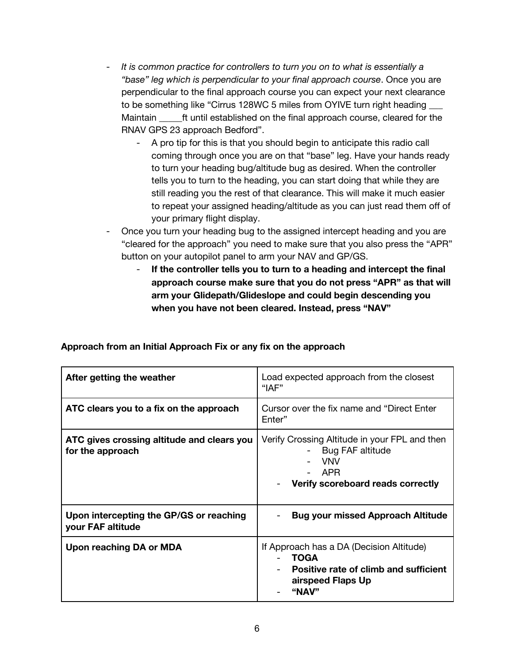- *It is common practice for controllers to turn you on to what is essentially a "base" leg which is perpendicular to your final approach course*. Once you are perpendicular to the final approach course you can expect your next clearance to be something like "Cirrus 128WC 5 miles from OYIVE turn right heading \_\_\_ Maintain ft until established on the final approach course, cleared for the RNAV GPS 23 approach Bedford".
	- A pro tip for this is that you should begin to anticipate this radio call coming through once you are on that "base" leg. Have your hands ready to turn your heading bug/altitude bug as desired. When the controller tells you to turn to the heading, you can start doing that while they are still reading you the rest of that clearance. This will make it much easier to repeat your assigned heading/altitude as you can just read them off of your primary flight display.
- Once you turn your heading bug to the assigned intercept heading and you are "cleared for the approach" you need to make sure that you also press the "APR" button on your autopilot panel to arm your NAV and GP/GS.
	- If the controller tells you to turn to a heading and intercept the final **approach course make sure that you do not press "APR" as that will arm your Glidepath/Glideslope and could begin descending you when you have not been cleared. Instead, press "NAV"**

| After getting the weather                                      | Load expected approach from the closest<br>"IAF"                                                                               |
|----------------------------------------------------------------|--------------------------------------------------------------------------------------------------------------------------------|
| ATC clears you to a fix on the approach                        | Cursor over the fix name and "Direct Enter"<br>Enter"                                                                          |
| ATC gives crossing altitude and clears you<br>for the approach | Verify Crossing Altitude in your FPL and then<br>Bug FAF altitude<br><b>VNV</b><br>- APR<br>Verify scoreboard reads correctly  |
| Upon intercepting the GP/GS or reaching<br>your FAF altitude   | <b>Bug your missed Approach Altitude</b>                                                                                       |
| Upon reaching DA or MDA                                        | If Approach has a DA (Decision Altitude)<br><b>TOGA</b><br>Positive rate of climb and sufficient<br>airspeed Flaps Up<br>"NAV" |

**Approach from an Initial Approach Fix or any fix on the approach**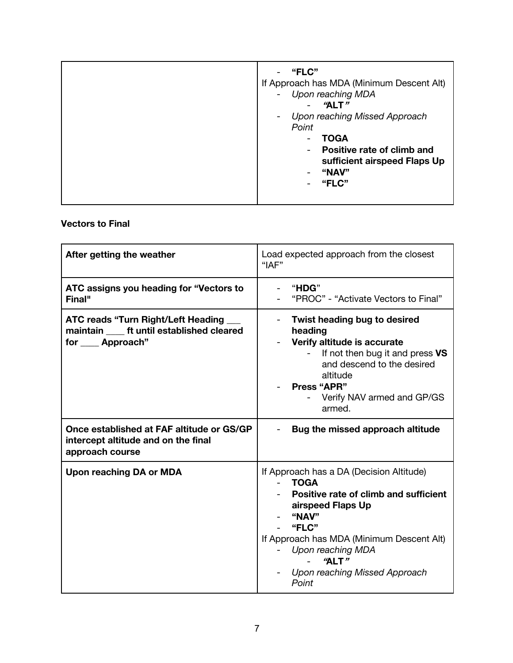| "FLC"<br>If Approach has MDA (Minimum Descent Alt)<br>Upon reaching MDA<br>$\overline{\phantom{a}}$<br>"ALT"                                                           |
|------------------------------------------------------------------------------------------------------------------------------------------------------------------------|
| Upon reaching Missed Approach<br>-<br>Point<br><b>TOGA</b><br>Positive rate of climb and<br>$\overline{\phantom{0}}$<br>sufficient airspeed Flaps Up<br>"NAV"<br>"FLC" |

## **Vectors to Final**

| After getting the weather                                                                                                                                                                             | Load expected approach from the closest<br>"IAF"                                                                                                                                                                                                                           |  |
|-------------------------------------------------------------------------------------------------------------------------------------------------------------------------------------------------------|----------------------------------------------------------------------------------------------------------------------------------------------------------------------------------------------------------------------------------------------------------------------------|--|
| ATC assigns you heading for "Vectors to<br>Final"                                                                                                                                                     | "HDG"<br>"PROC" - "Activate Vectors to Final"                                                                                                                                                                                                                              |  |
| <b>ATC reads "Turn Right/Left Heading</b><br>maintain _____ ft until established cleared<br>for <b>Approach</b> "<br>Once established at FAF altitude or GS/GP<br>intercept altitude and on the final | Twist heading bug to desired<br>heading<br>Verify altitude is accurate<br>If not then bug it and press VS<br>and descend to the desired<br>altitude<br><b>Press "APR"</b><br>Verify NAV armed and GP/GS<br>armed.<br>Bug the missed approach altitude                      |  |
| approach course                                                                                                                                                                                       |                                                                                                                                                                                                                                                                            |  |
| <b>Upon reaching DA or MDA</b>                                                                                                                                                                        | If Approach has a DA (Decision Altitude)<br><b>TOGA</b><br>$\sim 100$<br>Positive rate of climb and sufficient<br>airspeed Flaps Up<br>"NAV"<br>"FLC"<br>If Approach has MDA (Minimum Descent Alt)<br>Upon reaching MDA<br>"ALT"<br>Upon reaching Missed Approach<br>Point |  |